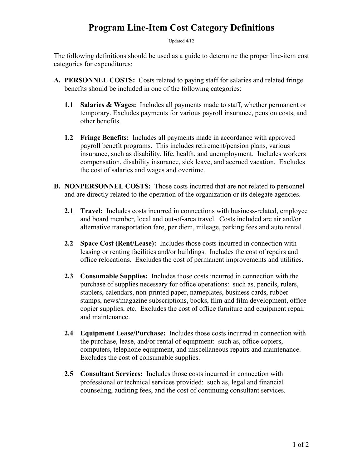## **Program Line-Item Cost Category Definitions**

Updated 4/12

The following definitions should be used as a guide to determine the proper line-item cost categories for expenditures:

- **A. PERSONNEL COSTS:** Costs related to paying staff for salaries and related fringe benefits should be included in one of the following categories:
	- **1.1 Salaries & Wages:** Includes all payments made to staff, whether permanent or temporary. Excludes payments for various payroll insurance, pension costs, and other benefits.
	- **1.2 Fringe Benefits:** Includes all payments made in accordance with approved payroll benefit programs. This includes retirement/pension plans, various insurance, such as disability, life, health, and unemployment. Includes workers compensation, disability insurance, sick leave, and accrued vacation. Excludes the cost of salaries and wages and overtime.
- **B. NONPERSONNEL COSTS:** Those costs incurred that are not related to personnel and are directly related to the operation of the organization or its delegate agencies.
	- **2.1 Travel:** Includes costs incurred in connections with business-related, employee and board member, local and out-of-area travel. Costs included are air and/or alternative transportation fare, per diem, mileage, parking fees and auto rental.
	- **2.2 Space Cost (Rent/Lease):** Includes those costs incurred in connection with leasing or renting facilities and/or buildings. Includes the cost of repairs and office relocations. Excludes the cost of permanent improvements and utilities.
	- **2.3 Consumable Supplies:** Includes those costs incurred in connection with the purchase of supplies necessary for office operations: such as, pencils, rulers, staplers, calendars, non-printed paper, nameplates, business cards, rubber stamps, news/magazine subscriptions, books, film and film development, office copier supplies, etc. Excludes the cost of office furniture and equipment repair and maintenance.
	- **2.4 Equipment Lease/Purchase:** Includes those costs incurred in connection with the purchase, lease, and/or rental of equipment: such as, office copiers, computers, telephone equipment, and miscellaneous repairs and maintenance. Excludes the cost of consumable supplies.
	- **2.5 Consultant Services:** Includes those costs incurred in connection with professional or technical services provided: such as, legal and financial counseling, auditing fees, and the cost of continuing consultant services.